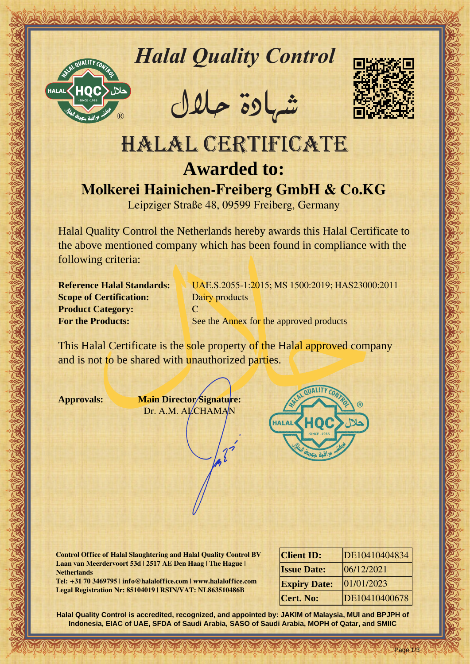

*Halal Quality Control*

REACTOR AND THE REAL PROPERTY OF THE REAL PROPERTY

�شهادة حالل



## Hallal Quality Control exception<br>
HALAL CERTIFICATE<br>
MORE CONTROL CONTROL EXCEPTION CONTROL<br>
MORE Handle Control and Control exception of the shown members dompany which has been fund to environ the control of the shown me HALAL CERTIFICATE **Awarded to: Molkerei Hainichen-Freiberg GmbH & Co.KG**

Leipziger Straße 48, 09599 Freiberg, Germany

Halal Quality Control the Netherlands hereby awards this Halal Certificate to the above mentioned company which has been found in compliance with the following criteria:

**Scope of Certification:** Dairy products **Product Category:** C

**Reference Halal Standards:** UAE.S.2055-1:2015; MS 1500:2019; HAS23000:2011 **For the Products:** See the Annex for the approved products

This Halal Certificate is the sole property of the Halal approved company and is not to be shared with unauthorized parties.

**Approvals: Main Director Signature:** Dr. A.M. ALCHAMAN



**Control Office of Halal Slaughtering and Halal Quality Control BV Laan van Meerdervoort 53d | 2517 AE Den Haag | The Hague | Netherlands**

**Tel: +31 70 3469795 | info@halaloffice.com | www.halaloffice.com Legal Registration Nr: 85104019 | RSIN/VAT: NL863510486B**

| <b>Client ID:</b>   | DE10410404834 |
|---------------------|---------------|
| <b>Issue Date:</b>  | 06/12/2021    |
| <b>Expiry Date:</b> | 01/01/2023    |
| <b>Cert. No:</b>    | DE10410400678 |

Page 1/3

**Halal Quality Control is accredited, recognized, and appointed by: JAKIM of Malaysia, MUI and BPJPH of Indonesia, EIAC of UAE, SFDA of Saudi Arabia, SASO of Saudi Arabia, MOPH of Qatar, and SMIIC**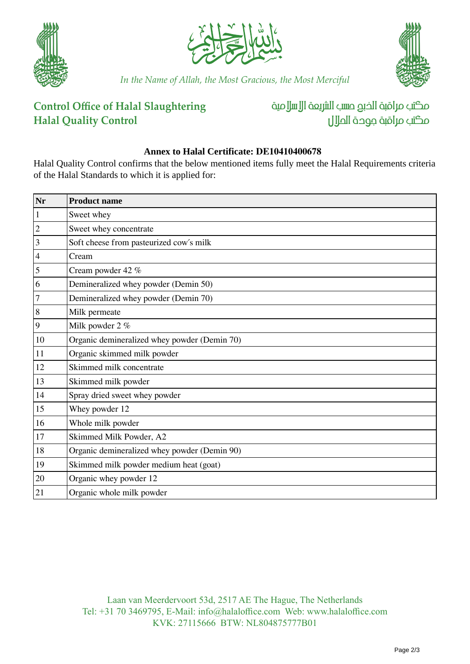





*In the Name of Allah, the Most Gracious, the Most Merciful*

## **Control Office of Halal Slaughtering Halal Quality Control**

مكتب مراقبة الذبم صسب الشريعة الإسلامية مكتب مراقبة جودة المال

## **Annex to Halal Certificate: DE10410400678**

Halal Quality Control confirms that the below mentioned items fully meet the Halal Requirements criteria of the Halal Standards to which it is applied for:

| Nr             | <b>Product name</b>                          |
|----------------|----------------------------------------------|
| $\mathbf{1}$   | Sweet whey                                   |
| $\overline{2}$ | Sweet whey concentrate                       |
| $\mathfrak{Z}$ | Soft cheese from pasteurized cow's milk      |
| $\overline{4}$ | Cream                                        |
| 5              | Cream powder 42 %                            |
| 6              | Demineralized whey powder (Demin 50)         |
| $\overline{7}$ | Demineralized whey powder (Demin 70)         |
| $\,8\,$        | Milk permeate                                |
| $\overline{9}$ | Milk powder 2 %                              |
| 10             | Organic demineralized whey powder (Demin 70) |
| 11             | Organic skimmed milk powder                  |
| 12             | Skimmed milk concentrate                     |
| 13             | Skimmed milk powder                          |
| 14             | Spray dried sweet whey powder                |
| 15             | Whey powder 12                               |
| 16             | Whole milk powder                            |
| 17             | Skimmed Milk Powder, A2                      |
| 18             | Organic demineralized whey powder (Demin 90) |
| 19             | Skimmed milk powder medium heat (goat)       |
| $20\,$         | Organic whey powder 12                       |
| 21             | Organic whole milk powder                    |